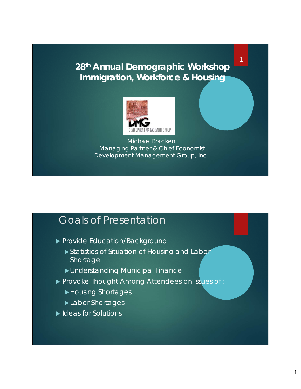#### **28th Annual Demographic Workshop Immigration, Workforce & Housing**

1



Michael Bracken Managing Partner & Chief Economist Development Management Group, Inc.

#### Goals of Presentation

- Provide Education/Background
	- Statistics of Situation of Housing and Labor Shortage
	- Understanding Municipal Finance
- **Provoke Thought Among Attendees on Issues of :** 
	- Housing Shortages
	- **Labor Shortages**
- Ideas for Solutions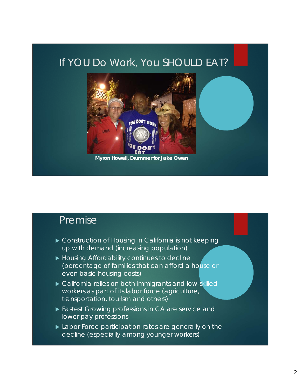### If YOU Do Work, You SHOULD EAT?



## **Premise**

- ▶ Construction of Housing in California is not keeping up with demand (increasing population)
- Housing Affordability continues to decline (percentage of families that can afford a house or even basic housing costs)
- California relies on both immigrants and low-skilled workers as part of its labor force (agriculture, transportation, tourism and others)
- **Fastest Growing professions in CA are service and** lower pay professions
- **Labor Force participation rates are generally on the** decline (especially among younger workers)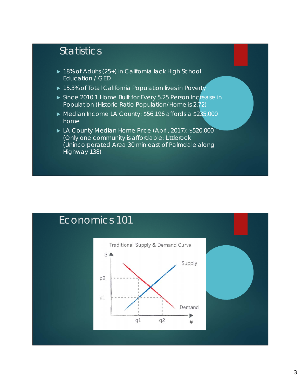# **Statistics**

- ▶ 18% of Adults (25+) in California lack High School Education / GED
- ▶ 15.3% of Total California Population lives in Poverty
- Since 2010 1 Home Built for Every 5.25 Person Increase in Population (Historic Ratio Population/Home is 2.72)
- ▶ Median Income LA County: \$56,196 affords a \$235,000 home
- ▶ LA County Median Home Price (April, 2017): \$520,000 (Only one community is affordable: Littlerock (Unincorporated Area 30 min east of Palmdale along Highway 138)

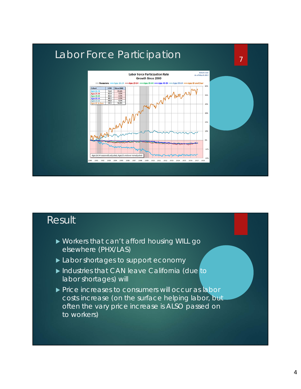

# **Result**

- Workers that can't afford housing WILL go elsewhere (PHX/LAS)
- Labor shortages to support economy
- Industries that CAN leave California (due to labor shortages) will
- Price increases to consumers will occur as labor costs increase (on the surface helping labor, but often the vary price increase is ALSO passed on to workers)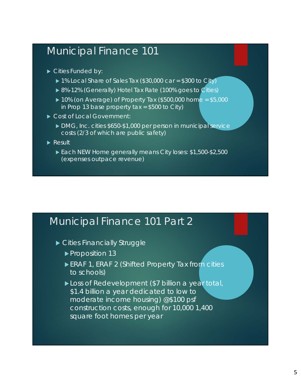## Municipal Finance 101

- Cities Funded by:
	- ▶ 1% Local Share of Sales Tax (\$30,000 car = \$300 to City)
	- ▶ 8%-12% (Generally) Hotel Tax Rate (100% goes to Cities)
	- $\blacktriangleright$  10% (on Average) of Property Tax (\$500,000 home = \$5,000 in Prop 13 base property tax = \$500 to City)
- Cost of Local Government:
	- ▶ DMG, Inc. cities \$650-\$1,000 per person in municipal service costs (2/3 of which are public safety)
- Result
	- Each NEW Home generally means City loses: \$1,500-\$2,500 (expenses outpace revenue)

#### Municipal Finance 101 Part 2

- ▶ Cities Financially Struggle
	- ▶ Proposition 13
	- ERAF 1, ERAF 2 (Shifted Property Tax from cities to schools)
	- ▶ Loss of Redevelopment (\$7 billion a year total, \$1.4 billion a year dedicated to low to moderate income housing) @\$100 psf construction costs, enough for 10,000 1,400 square foot homes per year